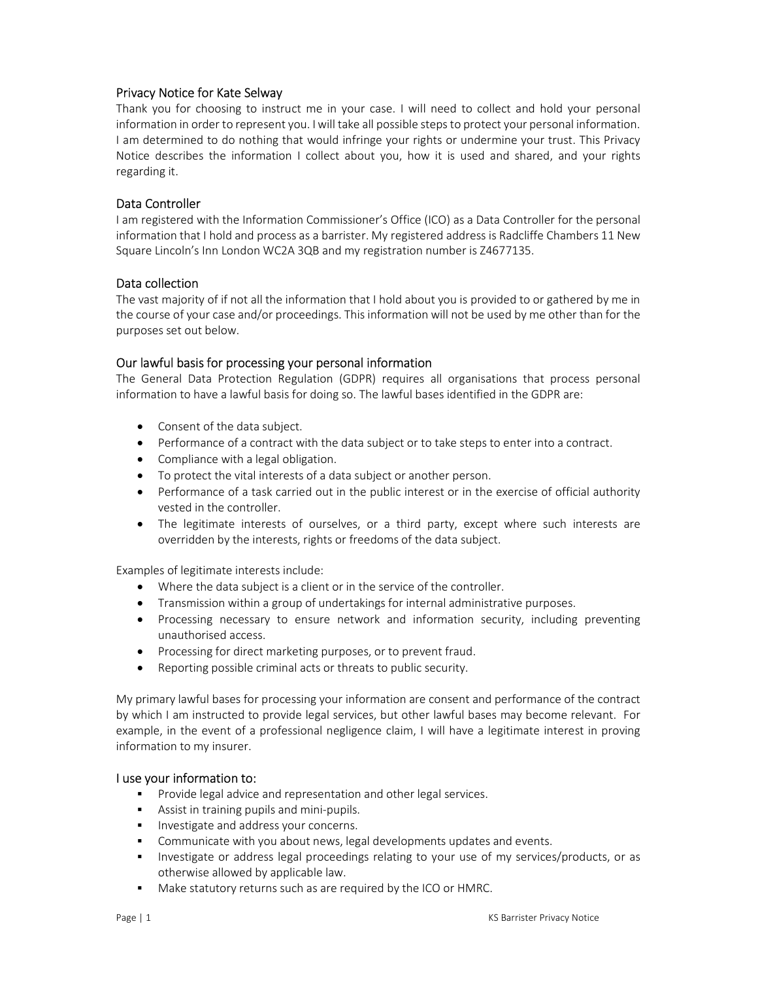# Privacy Notice for Kate Selway

Thank you for choosing to instruct me in your case. I will need to collect and hold your personal information in order to represent you. I will take all possible steps to protect your personal information. I am determined to do nothing that would infringe your rights or undermine your trust. This Privacy Notice describes the information I collect about you, how it is used and shared, and your rights regarding it.

## Data Controller

I am registered with the Information Commissioner's Office (ICO) as a Data Controller for the personal information that I hold and process as a barrister. My registered address is Radcliffe Chambers 11 New Square Lincoln's Inn London WC2A 3QB and my registration number is Z4677135.

### Data collection

The vast majority of if not all the information that I hold about you is provided to or gathered by me in the course of your case and/or proceedings. This information will not be used by me other than for the purposes set out below.

### Our lawful basis for processing your personal information

The General Data Protection Regulation (GDPR) requires all organisations that process personal information to have a lawful basis for doing so. The lawful bases identified in the GDPR are:

- Consent of the data subject.
- Performance of a contract with the data subject or to take steps to enter into a contract.
- Compliance with a legal obligation.
- To protect the vital interests of a data subject or another person.
- Performance of a task carried out in the public interest or in the exercise of official authority vested in the controller.
- The legitimate interests of ourselves, or a third party, except where such interests are overridden by the interests, rights or freedoms of the data subject.

Examples of legitimate interests include:

- Where the data subject is a client or in the service of the controller.
- Transmission within a group of undertakings for internal administrative purposes.
- Processing necessary to ensure network and information security, including preventing unauthorised access.
- Processing for direct marketing purposes, or to prevent fraud.
- Reporting possible criminal acts or threats to public security.

My primary lawful bases for processing your information are consent and performance of the contract by which I am instructed to provide legal services, but other lawful bases may become relevant. For example, in the event of a professional negligence claim, I will have a legitimate interest in proving information to my insurer.

#### I use your information to:

- **Provide legal advice and representation and other legal services.**
- Assist in training pupils and mini-pupils.
- **Investigate and address your concerns.**
- Communicate with you about news, legal developments updates and events.
- Investigate or address legal proceedings relating to your use of my services/products, or as otherwise allowed by applicable law.
- Make statutory returns such as are required by the ICO or HMRC.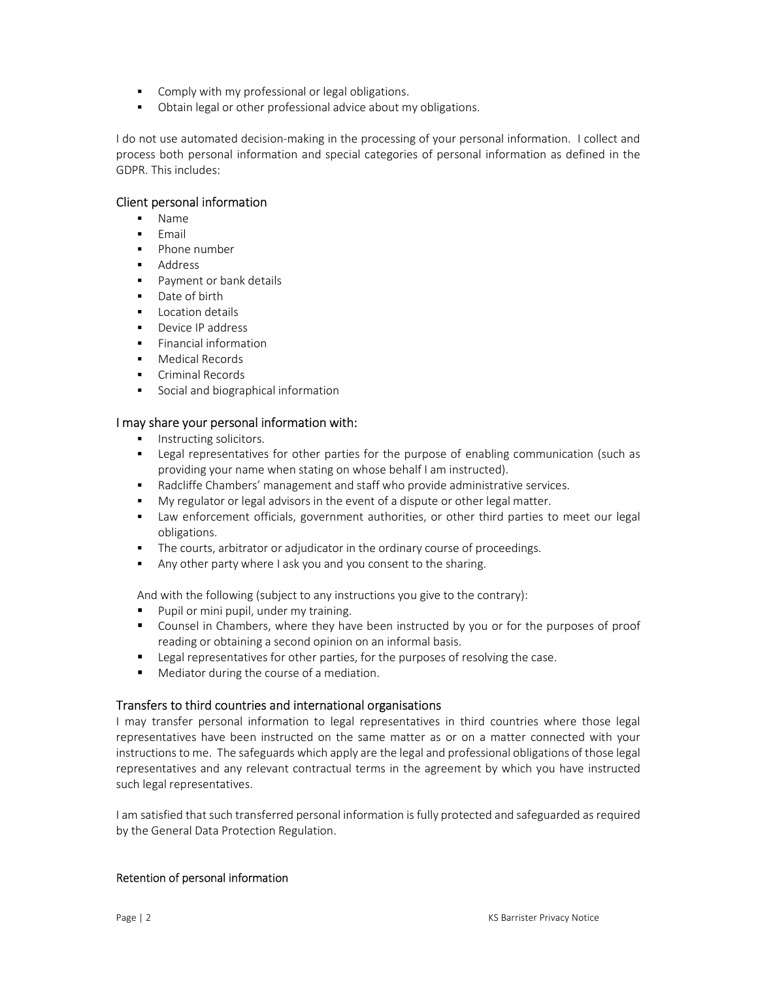- Comply with my professional or legal obligations.
- Obtain legal or other professional advice about my obligations.

I do not use automated decision-making in the processing of your personal information. I collect and process both personal information and special categories of personal information as defined in the GDPR. This includes:

## Client personal information

- Name
- Email
- Phone number
- Address
- Payment or bank details
- Date of birth
- Location details
- Device IP address
- Financial information
- Medical Records
- **Criminal Records**
- Social and biographical information

### I may share your personal information with:

- **Instructing solicitors.**
- Legal representatives for other parties for the purpose of enabling communication (such as providing your name when stating on whose behalf I am instructed).
- Radcliffe Chambers' management and staff who provide administrative services.
- My regulator or legal advisors in the event of a dispute or other legal matter.
- Law enforcement officials, government authorities, or other third parties to meet our legal obligations.
- The courts, arbitrator or adjudicator in the ordinary course of proceedings.
- Any other party where I ask you and you consent to the sharing.

And with the following (subject to any instructions you give to the contrary):

- **Pupil or mini pupil, under my training.**
- Counsel in Chambers, where they have been instructed by you or for the purposes of proof reading or obtaining a second opinion on an informal basis.
- **EXECTED FIGHTS I** Legal representatives for other parties, for the purposes of resolving the case.
- Mediator during the course of a mediation.

## Transfers to third countries and international organisations

I may transfer personal information to legal representatives in third countries where those legal representatives have been instructed on the same matter as or on a matter connected with your instructions to me. The safeguards which apply are the legal and professional obligations of those legal representatives and any relevant contractual terms in the agreement by which you have instructed such legal representatives.

I am satisfied that such transferred personal information is fully protected and safeguarded as required by the General Data Protection Regulation.

#### Retention of personal information